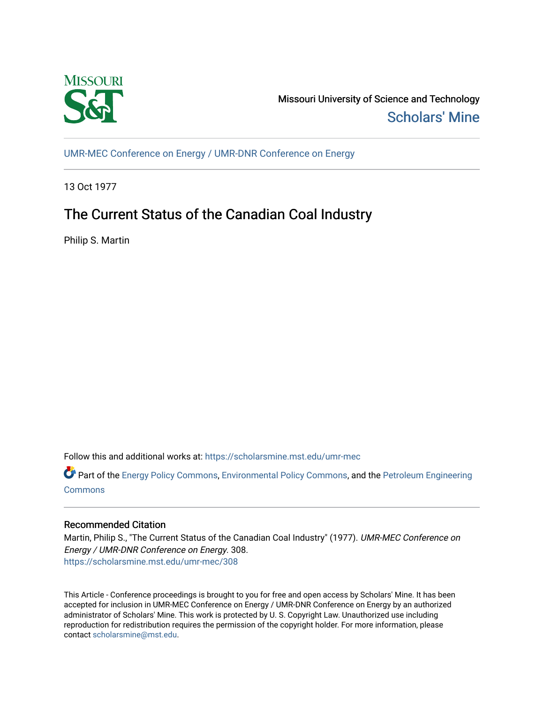

Missouri University of Science and Technology [Scholars' Mine](https://scholarsmine.mst.edu/) 

[UMR-MEC Conference on Energy / UMR-DNR Conference on Energy](https://scholarsmine.mst.edu/umr-mec)

13 Oct 1977

# The Current Status of the Canadian Coal Industry

Philip S. Martin

Follow this and additional works at: [https://scholarsmine.mst.edu/umr-mec](https://scholarsmine.mst.edu/umr-mec?utm_source=scholarsmine.mst.edu%2Fumr-mec%2F308&utm_medium=PDF&utm_campaign=PDFCoverPages) 

Part of the [Energy Policy Commons](http://network.bepress.com/hgg/discipline/1065?utm_source=scholarsmine.mst.edu%2Fumr-mec%2F308&utm_medium=PDF&utm_campaign=PDFCoverPages), [Environmental Policy Commons](http://network.bepress.com/hgg/discipline/1027?utm_source=scholarsmine.mst.edu%2Fumr-mec%2F308&utm_medium=PDF&utm_campaign=PDFCoverPages), and the [Petroleum Engineering](http://network.bepress.com/hgg/discipline/245?utm_source=scholarsmine.mst.edu%2Fumr-mec%2F308&utm_medium=PDF&utm_campaign=PDFCoverPages)  **[Commons](http://network.bepress.com/hgg/discipline/245?utm_source=scholarsmine.mst.edu%2Fumr-mec%2F308&utm_medium=PDF&utm_campaign=PDFCoverPages)** 

# Recommended Citation

Martin, Philip S., "The Current Status of the Canadian Coal Industry" (1977). UMR-MEC Conference on Energy / UMR-DNR Conference on Energy. 308. [https://scholarsmine.mst.edu/umr-mec/308](https://scholarsmine.mst.edu/umr-mec/308?utm_source=scholarsmine.mst.edu%2Fumr-mec%2F308&utm_medium=PDF&utm_campaign=PDFCoverPages) 

This Article - Conference proceedings is brought to you for free and open access by Scholars' Mine. It has been accepted for inclusion in UMR-MEC Conference on Energy / UMR-DNR Conference on Energy by an authorized administrator of Scholars' Mine. This work is protected by U. S. Copyright Law. Unauthorized use including reproduction for redistribution requires the permission of the copyright holder. For more information, please contact [scholarsmine@mst.edu](mailto:scholarsmine@mst.edu).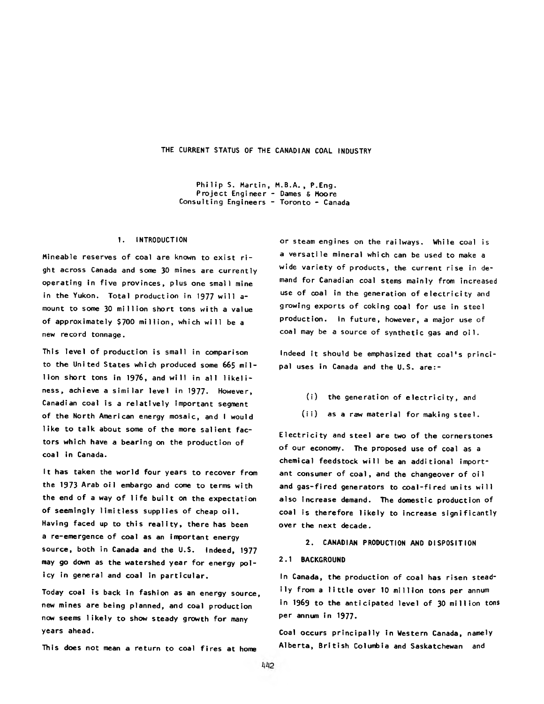**THE CURRENT STATUS OF THE CANADIAN COAL INDUSTRY**

Philip S. Martin, M.B.A., P.Eng. Project Engineer - Dames & Moore Consulting Engineers - Toronto - Canada

#### 1. INTRODUCTION

Mineable reserves of coal are known to exist right across Canada and some 30 mines are currently operating in five provinces, plus one small mine in the Yukon. Total production in 1977 will amount to some 30 million short tons with a value of approximately \$700 million, which will be a new record tonnage.

This level of production is small in comparison to the United States which produced some 665 million short tons in 1976, and will in all likeliness, achieve a similar level in 1977. However, Canadian coal is a relatively important segment of the North American energy mosaic, and I would like to talk about some of the more salient factors which have a bearing on the production of coal in Canada.

It has taken the world four years to recover from the 1973 Arab oil embargo and come to terms with the end of a way of life built on the expectation of seemingly limitless supplies of cheap oil. Having faced up to this reality, there has been a re-emergence of coal as an important energy source, both in Canada and the U.S. Indeed, 1977 may go down as the watershed year for energy policy in general and coal in particular.

Today coal is back in fashion as an energy source, new mines are being planned, and coal production now seems likely to show steady growth for many years ahead.

This does not mean a return to coal fires at home

or steam engines on the railways. While coal is a versatile mineral which can be used to make a wide variety of products, the current rise in demand for Canadian coal stems mainly from increased use of coal in the generation of electricity and growing exports of coking coal for use in steel production. In future, however, a major use of coal may be a source of synthetic gas and oil.

Indeed it should be emphasized that coal's principal uses in Canada and the U.S. are:-

- (i) the generation of electricity, and
- (ii) as a raw material for making steel.

Electricity and steel are two of the cornerstones of our economy. The proposed use of coal as a chemical feedstock will be an additional important consumer of coal, and the changeover of oil and gas-fired generators to coal-fired units will also increase demand. The domestic production of coal is therefore likely to increase significantly over the next decade.

#### 2. CANADIAN PRODUCTION AND DISPOSITION

#### 2.1 BACKGROUND

In Canada, the production of coal has risen steadily from a little over 10 million tons per annum in 1969 to the anticipated level of 30 million tons per annum in 1977.

Coal occurs principally in Western Canada, namely Alberta, British Columbia and Saskatchewan and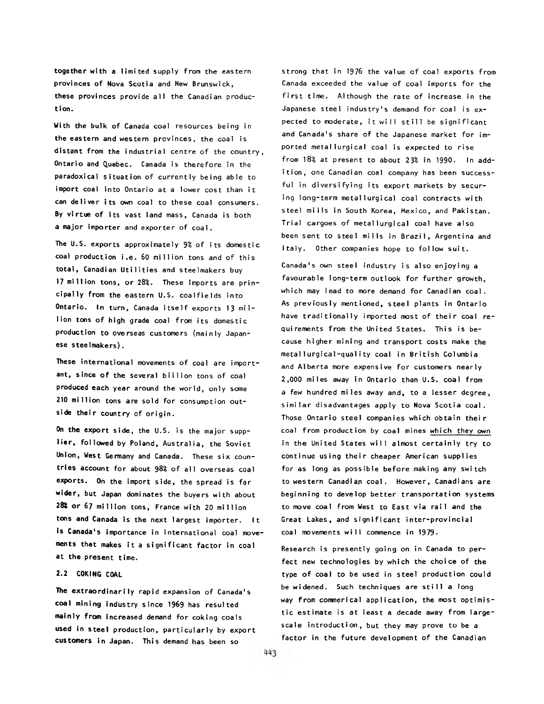together with a limited supply from the eastern provinces of Nova Scotia and New Brunswick, these provinces provide a ll the Canadian production.

With the bulk of Canada coal resources being in the eastern and western provinces, the coal is distant from the industrial centre of the country, Ontario and Quebec. Canada is therefore in the paradoxical situation of currently being able to import coal into Ontario at a lower cost than it can deliver its own coal to these coal consumers. By virtue of its vast land mass, Canada is both a major importer and exporter of coal.

The U.S. exports approximately  $9\%$  of its domestic coal production i.e. 60 million tons and of this total, Canadian Utilities and steelmakers buy 17 million tons, or 28%. These imports are principally from the eastern U.S. coalfields into Ontario. In turn, Canada itself exports 13 million tons of high grade coal from its domestic production to overseas customers (mainly Japanese steelmakers).

These international movements of coal are important, since of the several billion tons of coal produced each year around the world, only some 210 million tons are sold for consumption outside their country of origin.

On the export side, the U.S. is the major supplier, followed by Poland, Australia, the Soviet Union, West Germany and Canada. These six countries account for about 98% of all overseas coal exports. On the import side, the spread is far wider, but Japan dominates the buyers with about 28% or 67 million tons, France with 20 million tons and Canada is the next largest importer. It is Canada's importance in international coal movements that makes it a significant factor in coal at the present time.

# 2.2 COKING COAL

The extraordinarily rapid expansion of Canada's coal mining industry since 1969 has resulted mainly from increased demand for coking coals used in steel production, particularly by export customers in Japan. This demand has been so

strong that in 1976 the value of coal exports from Canada exceeded the value of coal imports for the first time. Although the rate of increase in the Japanese steel industry's demand for coal is  $ex$ pected to moderate, it will still be significant and Canada's share of the Japanese market for imported metallurgical coal is expected to rise from 18% at present to about 23% in 1990. In addition, one Canadian coal company has been successful in diversifying its export markets by securing long-term metallurgical coal contracts with steel mills in South Korea, Mexico, and Pakistan. Trial cargoes of metallurgical coal have also been sent to steel mills in Brazil, Argentina and Italy. Other companies hope to follow suit.

Canada's own steel industry is also enjoying a favourable long-term outlook for further growth, which may lead to more demand for Canadian coal. As previously mentioned, steel plants in Ontario have traditionally imported most of their coal requirements from the United States. This is because higher mining and transport costs make the metallurgical-quality coal in British Columbia and Alberta more expensive for customers nearly 2,000 miles away in Ontario than U.S. coal from a few hundred miles away and, to a lesser degree, similar disadvantages apply to Nova Scotia coal. Those Ontario steel companies which obtain their coal from production by coal mines which they own in the United States will almost certainly try to continue using their cheaper American supplies for as long as possible before making any switch to western Canadian coal. However, Canadians are beginning to develop better transportation systems to move coal from West to East via rail and the Great Lakes, and significant inter-provincial coal movements will commence in 1979.

Research is presently going on in Canada to perfect new technologies by which the choice of the type of coal to be used in steel production could be widened. Such techniques are still a long way from commerical application, the most optimistic estimate is at least a decade away from largescale introduction, but they may prove to be a factor in the future development of the Canadian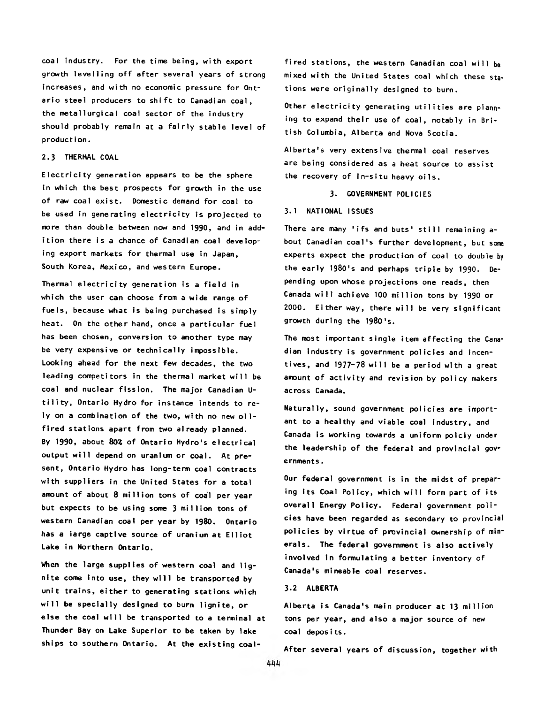coal industry. For the time being, with export growth levelling off after several years of strong increases, and with no economic pressure for Ontario steel producers to shift to Canadian coal, the metallurgical coal sector of the industry should probably remain at a fairly stable level of production.

#### 2.3 THERMAL COAL

Electricity generation appears to be the sphere in which the best prospects for growth in the use of raw coal exist. Domestic demand for coal to be used in generating electricity is projected to more than double between now and 1990, and in addition there is a chance of Canadian coal developing export markets for thermal use in Japan. South Korea, Mexico, and western Europe.

Thermal electricity generation is a field in which the user can choose from a wide range of fuels, because what is being purchased is simply heat. On the other hand, once a particular fuel has been chosen, conversion to another type may be very expensive or technically impossible. Looking ahead for the next few decades, the two leading competitors in the thermal market will be coal and nuclear fission. The major Canadian Utility, Ontario Hydro for instance intends to rely on a combination of the two, with no new oilfired stations apart from two already planned. By 1990, about 80% of Ontario Hydro's electrical output will depend on uranium or coal. At present, Ontario Hydro has long-term coal contracts with suppliers in the United States for a total amount of about 8 million tons of coal per year but expects to be using some 3 million tons of western Canadian coal per year by 1980. Ontario has a large captive source of uranium at Elliot Lake in Northern Ontario.

When the large supplies of western coal and lignite come into use, they will be transported by unit trains, either to generating stations which will be specially designed to burn lignite, or else the coal will be transported to a terminal at Thunder Bay on Lake Superior to be taken by lake ships to southern Ontario. At the existing coal-

fired stations, the western Canadian coal will be mixed with the United States coal which these stations were originally designed to burn.

Other electricity generating utilities are planning to expand their use of coal, notably in British Columbia, Alberta and Nova Scotia.

Alberta's very extensive thermal coal reserves are being considered as a heat source to assist the recovery of in-situ heavy oils.

3. GOVERNMENT POLICIES

### 3.1 NATIONAL ISSUES

There are many 'ifs and buts' still remaining about Canadian coal's further development, but some experts expect the production of coal to double by the early 1980's and perhaps triple by 1990. Depending upon whose projections one reads, then Canada will achieve 100 million tons by 1990 or 2000. Either way, there will be very significant growth during the 1980's.

The most important single item affecting the Canadian industry is government policies and incentives, and 1977-78 will be a period with a great amount of activity and revision by policy makers across Canada.

Naturally, sound government policies are important to a healthy and viable coal industry, and Canada is working towards a uniform polciy under the leadership of the federal and provincial governments .

Our federal government is in the midst of preparing its Coal Policy, which will form part of its overall Energy Policy. Federal government policies have been regarded as secondary to provincial policies by virtue of provincial ownership of minerals. The federal government is also actively involved in formulating a better inventory of Canada's mineable coal reserves.

# 3.2 ALBERTA

Alberta is Canada's main producer at 13 million tons per year, and also a major source of new coal deposits.

After several years of discussion, together with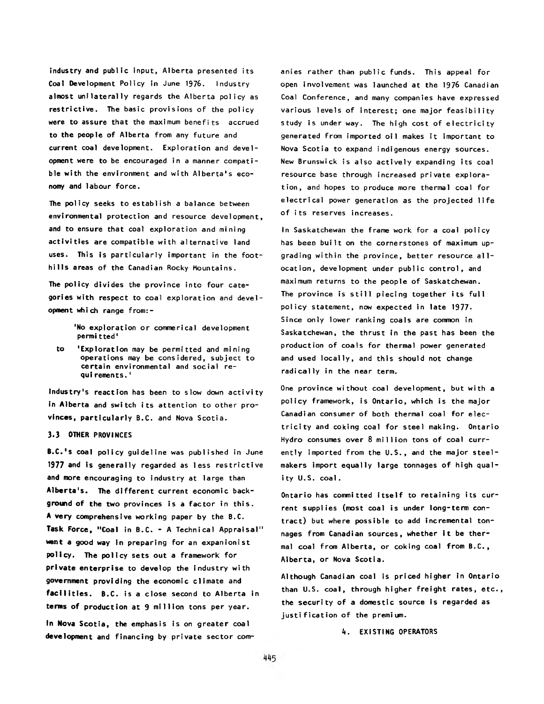industry and public input, Alberta presented its Coal Development Policy in June 1976. Industry almost unilaterally regards the Alberta policy as restrictive. The basic provisions of the policy were to assure that the maximum benefits accrued to the people of Alberta from any future and current coal development. Exploration and development were to be encouraged in a manner compatible with the environment and with Alberta's economy and labour force.

The policy seeks to establish a balance between environmental protection and resource development, and to ensure that coal exploration and mining activities are compatible with alternative land uses. This is particularly important in the foothills areas of the Canadian Rocky Mountains.

The policy divides the province into four categories with respect to coal exploration and development which range from:-

> 'No exploration or commerical development permi tted'

to 'Exploration may be permitted and mining operations may be considered, subject to certain environmental and social requi rements.<sup>1</sup>

Industry's reaction has been to slow down activity In Alberta and switch its attention to other provinces, particularly B.C. and Nova Scotia.

### 3.3 OTHER PROVINCES

B.C.'s coal policy guideline was published in June 1977 and is generally regarded as less restrictive and more encouraging to industry at large than Alberta's. The different current economic background of the two provinces is a factor in this. A **very** comprehensive working paper by the B.C. Task Force, "Coal in B.C. - A Technical Appraisal" went a good way in preparing for an expanionist policy. The policy sets out a framework for **private enterprise** to develop the industry with **government** providing the economic clim ate and facilities. B.C. is a close second to Alberta in terms of production at 9 million tons per year.

In Nova Scotia, the emphasis is on greater coal development and financing by private sector com-

anies rather than public funds. This appeal for open involvement was launched at the 1976 Canadian Coal Conference, and many companies have expressed various levels of interest; one major feasibility study is under way. The high cost of electricity generated from imported oil makes it important to Nova Scotia to expand indigenous energy sources. New Brunswick is also actively expanding its coal resource base through increased private exploration, and hopes to produce more thermal coal for electrical power generation as the projected life of its reserves increases.

In Saskatchewan the frame work for a coal policy has been built on the cornerstones of maximum upgrading within the province, better resource allocation, development under public control, and maximum returns to the people of Saskatchewan. The province is still piecing together its full policy statement, now expected in late 1977. Since only lower ranking coals are common in Saskatchewan, the thrust in the past has been the production of coals for thermal power generated and used locally, and this should not change radically in the near term.

One province without coal development, but with a p olicy framework, is Ontario, which is the major Canadian consumer of both thermal coal for electricity and coking coal for steel making. Ontario Hydro consumes over  $8$  million tons of coal currently imported from the  $U.S.$ , and the major steelmakers import equally large tonnages of high quality U.S. coal.

Ontario has committed itself to retaining its current supplies (most coal is under long-term contract) but where possible to add incremental tonnages from Canadian sources, whether it be thermal coal from Alberta, or coking coal from B.C., Alberta, or Nova Scotia.

Although Canadian coal is priced higher in Ontario than U.S. coal, through higher freight rates, etc., the security of a domestic source is regarded as justification of the premium.

*k.* EXISTING OPERATORS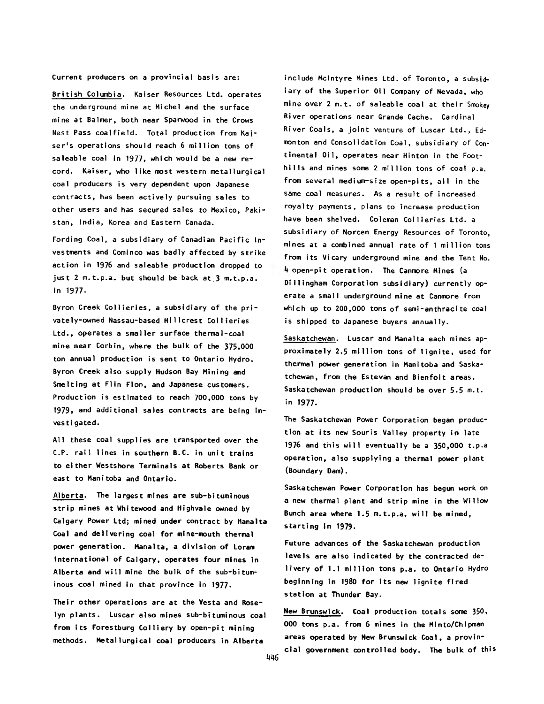Current producers on a provincial basis are:

British Columbia. Kaiser Resources Ltd. operates the underground mine at Michel and the surface mine at Balmer, both near Sparwood in the Crows Nest Pass coalfield. Total production from Kajser's operations should reach 6 million tons of saleable coal in 1977, which would be a new record. Kaiser, who like most western metallurgical coal producers is very dependent upon Japanese contracts, has been actively pursuing sales to other users and has secured sales to Mexico, Pakistan, India, Korea and Eastern Canada.

Fording Coal, a subsidiary of Canadian Pacific Investments and Cominco was badly affected by strike action in 1976 and saleable production dropped to just 2 m.t.p.a. but should be back at 3 m.t.p.a. in 1977.

Byron Creek Collieries, a subsidiary of the privately-owned Nassau-based Hillcrest Collieries Ltd., operates a smaller surface thermal-coal mine near Corbin, where the bulk of the 375,000 ton annual production is sent to Ontario Hydro. Byron Creek a lso supply Hudson Bay Mining and Smelting at Flin Flon, and Japanese customers. Production is estimated to reach 700,000 tons by 1979, and additional sales contracts are being investigated.

All these coal supplies are transported over the C.P. rail lines in southern B.C. in unit trains to either Westshore Terminals at Roberts Bank or east to Manitoba and Ontario.

Alberta. The largest mines are sub-bituminous strip mines at Whitewood and Highvale owned by Calgary Power Ltd; mined under contract by Manalta Coal and delivering coal for mine-mouth thermal power generation. Manalta, a division of Loram International of Calgary, operates four mines in Alberta and will mine the bulk of the sub-bituminous coal mined in that province in 1977.

Their other operations are at the Vesta and Roselyn plants. Luscar also mines sub-bituminous coal from its Forestburg Colliery by open-pit mining methods. Metallurgical coal producers in Alberta

include McIntyre Mines Ltd. of Toronto, a subsidiary of the Superior Oil Company of Nevada, who mine over 2 m.t. of saleable coal at their Smokey River operations near Grande Cache. Cardinal River Coals, a joint venture of Luscar Ltd., Edmonton and Consolidation Coal, subsidiary of Continental Oil, operates near Hinton in the Foothills and mines some 2 million tons of coal p.a. from several medium-size open-pits, all in the same coal measures. As a result of increased royalty payments, plans to increase production have been shelved. Coleman Collieries Ltd. a subsidiary of Norcen Energy Resources of Toronto, mines at a combined annual rate of 1 million tons from its Vicary underground mine and the Tent No. 4 open-pit operation. The Canmore Mines (a Dillingham Corporation subsidiary) currently operate a small underground mine at Canmore from which up to 200,000 tons of semi-anthracite coal is shipped to Japanese buyers annually.

Saskatchewan. Luscar and Manalta each mines approximately 2.5 million tons of lignite, used for thermal power generation in Manitoba and Saskatchewan, from the Estevan and Bienfoit areas. Saskatchewan production should be over  $5.5$  m.t. in 1977.

The Saskatchewan Power Corporation began production at its new Souris Valley property in late 1976 and this will eventually be a  $350,000$  t.p.a operation, also supplying a thermal power plant (Boundary Dam).

Saskatchewan Power Corporation has begun work on a new thermal plant and strip mine in the Willow Bunch area where 1.5 m.t.p.a. will be mined, starting in 1979.

Future advances of the Saskatchewan production levels are also indicated by the contracted delivery of 1.1 million tons p.a. to Ontario Hydro beginning in 1980 for its new lignite fired station at Thunder Bay.

New Brunswick. Coal production totals some 350, 000 tons p.a. from 6 mines in the Minto/Chipman areas operated by New Brunswick Coal, a provincial government controlled body. The bulk of this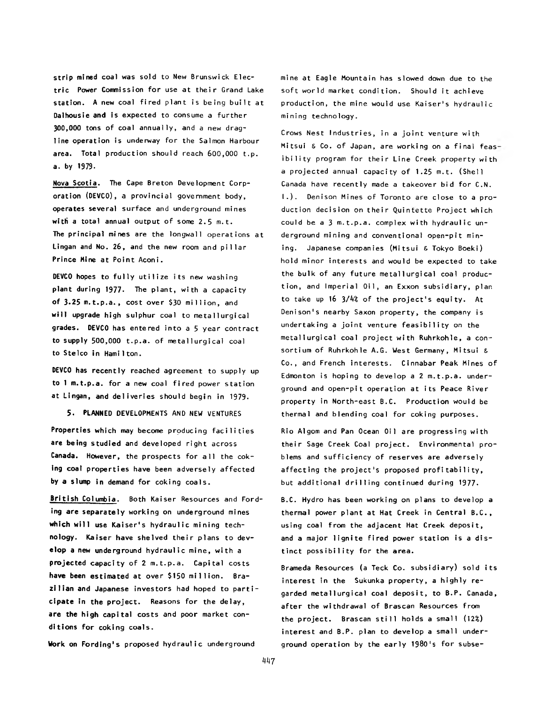strip mined coal was sold to New Brunswick Electric Power Commission for use at their Grand Lake station. A new coal fired plant is being built at Dalhousie and is expected to consume a further 300,000 tons of coal annually, and a new dragline operation is underway for the Salmon Harbour area. Total production should reach 600,000 t.p. a. by 1979.

Nova Scotia. The Cape Breton Development Corporation (DEVCO), a provincial government body, operates several surface and underground mines with a total annual output of some  $2.5$  m.t. The principal mines are the longwall operations at Lingan and No. 26, and the new room and pillar Prince Mine at Point Aconi.

DEVCO hopes to fully utilize its new washing plant during 1977. The plant, with a capacity of 3.25 m.t.p.a., cost over \$30 million, and will upgrade high sulphur coal to metallurgical grades. DEVCO has entered into a 5 year contract to supply  $500,000$  t.p.a. of metallurgical coal to Stelco in Hamilton.

DEVCO has recently reached agreement to supply up to 1 m.t.p.a. for a new coal fired power station at Lingan, and deliveries should begin in 1979.

5. PLANNED DEVELOPMENTS AND NEW VENTURES

Properties which may become producing facilities are being studied and developed right across Canada. However, the prospects for all the  $\text{cok-}$ ing coal properties have been adversely affected by a slump in demand for coking coals.

British Columbia. Both Kaiser Resources and Fording **are** separately working on underground mines which will use Kaiser's hydraulic mining tech**nology.** Kaiser have shelved their plans to develop a new underground hydraulic mine, with a projected capacity of 2 m.t.p.a. Capital costs have been estimated at over \$150 million. Brazilian and Japanese investors had hoped to parti**cipate** in the project. Reasons for the delay, **are the high** capital costs and poor market con**ditions for** coking coals.

Work on Fording's proposed hydraulic underground

mine at Eagle Mountain has slowed down due to the soft world market condition. Should it achieve production, the mine would use Kaiser's hydraulic mining technology.

Crows Nest Industries, in a joint venture with Mitsui & Co. of Japan, are working on a final feasibility program for their Line Creek property with a projected annual capacity of 1.25 m.t. (Shell Canada have recently made a takeover bid for C.N. I.). Denison Mines of Toronto are close to a production decision on their Quintette Project which could be a 3 m.t.p.a. complex with hydraulic underground mining and conventional open-pit mining. Japanese companies (Mitsui & Tokyo Boeki) hold minor interests and would be expected to take the bulk of any future metallurgical coal production, and Imperial Oil, an Exxon subsidiary, plan to take up 16 3/4% of the project's equity. At Denison's nearby Saxon property, the company is undertaking a joint venture feasibility on the metallurgical coal project with Ruhrkohle, a consortium of Ruhrkohle A.G. West Germany, Mitsui & Co., and French interests. Cinnabar Peak Mines of Edmonton is hoping to develop a  $2$  m.t.p.a. underground and open-pit operation at its Peace River property in North-east B.C. Production would be thermal and blending coal for coking purposes.

Rio Algom and Pan Ocean Oil are progressing with their Sage Creek Coal project. Environmental problems and sufficiency of reserves are adversely affecting the project's proposed profitability, but additional drilling continued during 1977.

B.C. Hydro has been working on plans to develop a thermal power plant at Hat Creek in Central B.C., using coal from the adjacent Hat Creek deposit, and a major lignite fired power station is a distinct possibility for the area.

Brameda Resources (a Teck Co. subsidiary) sold its interest in the Sukunka property, a highly regarded metallurgical coal deposit, to B.P. Canada, after the withdrawal of Brascan Resources from the project. Brascan still holds a small  $(12<sup>2</sup>)$ interest and B.P. plan to develop a small underground operation by the early 1980's for subse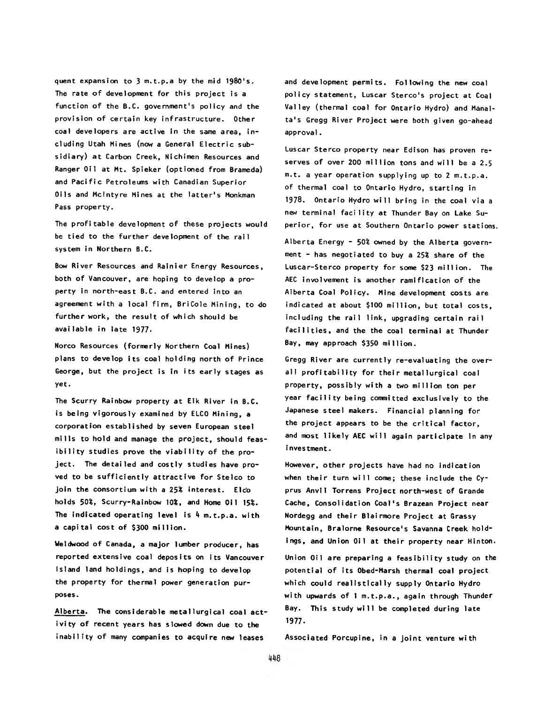quent expansion to 3 m.t.p.a by the mid 1980's. The rate of development for this project is a function of the B.C. government's policy and the provision of certain key infrastructure. Other coal developers are active in the same area, in cluding Utah Mines (now a General Electric subsidiary) at Carbon Creek, Nichimen Resources and Ranger Oil at Mt. Spieker (optioned from Brameda) and Pacific Petroleums with Canadian Superior Oils and McIntyre Mines at the latter's Monkman Pass property.

The profitable development of these projects would be tied to the further development of the rail system in Northern B.C.

Bow River Resources and Rainier Energy Resources, both of Vancouver, are hoping to develop a property in north-east B.C. and entered into an agreement with a local firm, BriCole Mining, to do further work, the result of which should be available in late 1977.

Norco Resources (formerly Northern Coal Mines) plans to develop its coal holding north of Prince George, but the project is in its early stages as yet.

The Scurry Rainbow property at Elk River in B.C. is being vigorously examined by ELCO Mining, a corporation established by seven European steel mills to hold and manage the project, should feasibility studies prove the viability of the project. The detailed and costly studies have proved to be sufficiently attractive for Stelco to join the consortium with a 25% interest. Elco holds 50%, Scurry-Rainbow 10%, and Home 0il 15%. The indicated operating level is *k* m.t.p.a. with a capital cost of \$300 million.

Weldwood of Canada, a major lumber producer, has reported extensive coal deposits on its Vancouver Island land holdings, and is hoping to develop the property for thermal power generation purposes.

Alberta. The considerable metallurgical coal activity of recent years has slowed down due to the inability of many companies to acquire new leases

and development permits. Following the new coal policy statement, Luscar Sterco's project at Coal Valley (thermal coal for Ontario Hydro) and Manalta's Gregg River Project were both given go-ahead approval.

Luscar Stereo property near Edison has proven reserves of over 200 million tons and will be a 2.5 m.t. a year operation supplying up to 2 m.t.p.a. of thermal coal to Ontario Hydro, starting in 1978. Ontario Hydro will bring in the coal via a new terminal facility at Thunder Bay on Lake Superior, for use at Southern Ontario power stations.

Alberta Energy - 50\$ owned by the Alberta government - has negotiated to buy a 25% share of the Luscar-Sterco property for some \$23 million. The AEC involvement is another ramification of the Alberta Coal Policy. Mine development costs are indicated at about \$100 million, but total costs, including the rail link, upgrading certain rail facilities, and the the coal terminal at Thunder Bay, may approach \$350 million.

Gregg River are currently re-evaluating the overall profitability for their metallurgical coal property, possibly with a two million ton per year facility being committed exclusively to the Japanese steel makers. Financial planning for the project appears to be the critical factor, and most likely AEC will again participate in any investment.

However, other projects have had no indication when their turn will come; these include the Cyprus Anvil Torrens Project north-west of Grande Cache, Consolidation Coal's Brazean Project near Nordegg and their Blairmore Project at Grassy Mountain, Bralorne Resource's Savanna Creek holdings, and Union Oil at their property near Hinton.

Union Oil are preparing a feasibility study on the potential of its Obed-Marsh thermal coal project which could realistically supply Ontario Hydro with upwards of 1 m.t.p.a., again through Thunder Bay. This study will be completed during late 1977.

Associated Porcupine, in a joint venture with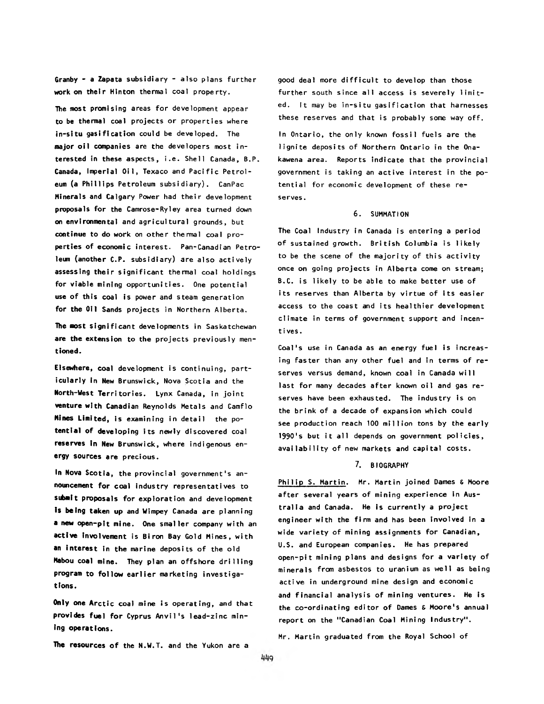Granby - a Zapata subsidiary - also plans further work on their Hinton thermal coal property.

The most promising areas for development appear to be thermal coal projects or properties where in-situ gasification could be developed. The major oil companies are the developers most interested in these aspects, i.e. Shell Canada, B.P. Canada, Imperial Oil, Texaco and Pacific Petroleum (a Phillips Petroleum subsidiary). CanPac Minerals and Calgary Power had their development proposals for the Camrose-Ryley area turned down on environmental and agricultural grounds, but continue to do work on other thermal coal properties of economic interest. Pan-Canadian Petroleum (another C.P. subsidiary) are also actively assessing their significant thermal coal holdings for viable mining opportunities. One potential use of this coal is power and steam generation for the Oil Sands projects in Northern Alberta.

The most significant developments in Saskatchewan are the extension to the projects previously men**tioned.**

Elsewhere, coal development is continuing, particularly in New Brunswick, Nova Scotia and the **North-West** Territories. Lynx Canada, in joint **venture with** Canadian Reynolds Metals and Camflo **Mines Limited,** is examining in detail the po**tential of developing** its newly discovered coal **reserves In** New Brunswick, where indigenous en**ergy sources** are precious.

In Nova Scotia, the provincial government's an**nouncement** for coal industry representatives to **submit** proposals for exploration and development **Is being taken up** and Wimpey Canada are planning a new open-pit mine. One smaller company with an **active involvement** is Biron Bay Gold Mines, with **an interest** in the marine deposits of the old Mabou coal mine. They plan an offshore drilling program to follow earlier marketing investiga**tions.**

**Only one Arctic coal mine is operating, and that** provides fuel for Cyprus Anvil's lead-zinc min**ing operations.**

good deal more difficult to develop than those further south since all access is severely limited. It may be in-situ gasification that harnesses these reserves and that is probably some way off.

In Ontario, the only known fossil fuels are the lignite deposits of Northern Ontario in the Onakawena area. Reports indicate that the provincial government is taking an active interest in the potential for economic development of these reserves .

#### 6. SUMMATION

The Coal Industry in Canada is entering a period of sustained growth. British Columbia is likely to be the scene of the majority of this activity once on going projects in Alberta come on stream; B.C. is likely to be able to make better use of its reserves than Alberta by virtue of its easier access to the coast and its healthier development climate in terms of government support and incentives.

Coal's use in Canada as an energy fuel is increasing faster than any other fuel and in terms of reserves versus demand, known coal in Canada will last for many decades after known oil and gas reserves have been exhausted. The industry is on the brink of a decade of expansion which could see production reach 100 million tons by the early 1990's but it all depends on government policies, availability of new markets and capital costs.

# 7. BIOGRAPHY

Philip S. Martin. Mr. Martin joined Dames & Moore after several years of mining experience in Australia and Canada. He is currently a project engineer with the firm and has been involved in a wide variety of mining assignments for Canadian, U.S. and European companies. He has prepared open-pit mining plans and designs for a variety of minerals from asbestos to uranium as well as being active in underground mine design and economic and financial analysis of mining ventures. He is the co-ordinating editor of Dames & Moore's annual report on the "Canadian Coal Mining Industry".

The resources of the N.W.T. and the Yukon are a

Mr. Martin graduated from the Royal School of